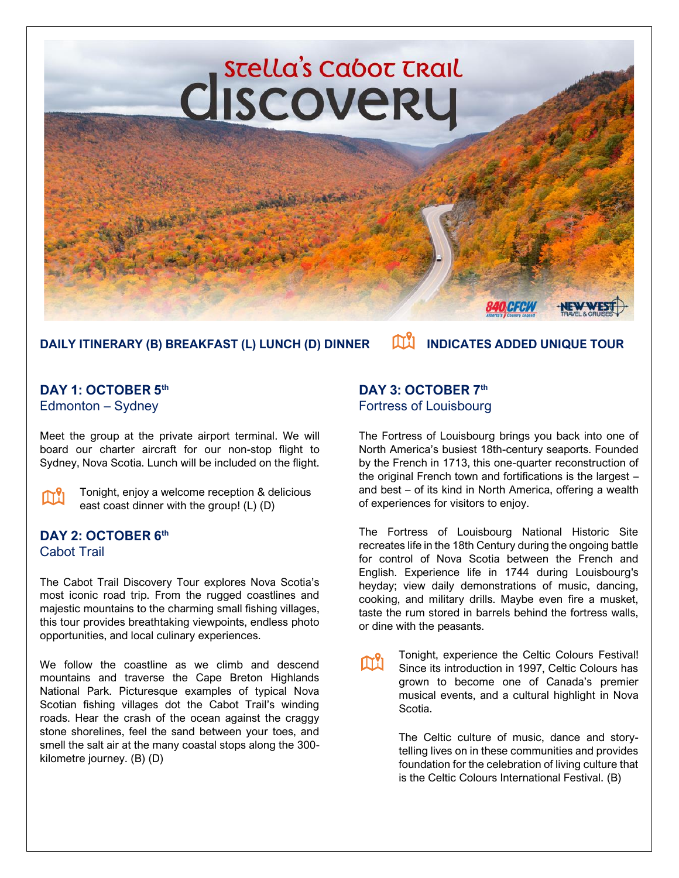

# DAILY ITINERARY (B) BREAKFAST (L) LUNCH (D) DINNER **IN ALLA INDICATES ADDED UNIQUE TOUR**

#### **DAY 1: OCTOBER 5 th** Edmonton – Sydney

Meet the group at the private airport terminal. We will board our charter aircraft for our non-stop flight to Sydney, Nova Scotia. Lunch will be included on the flight.

| M. |  |
|----|--|
|    |  |
|    |  |

Tonight, enjoy a welcome reception & delicious east coast dinner with the group! (L) (D)

#### **DAY 2: OCTOBER 6 th**  Cabot Trail

The Cabot Trail Discovery Tour explores Nova Scotia's most iconic road trip. From the rugged coastlines and majestic mountains to the charming small fishing villages, this tour provides breathtaking viewpoints, endless photo opportunities, and local culinary experiences.

We follow the coastline as we climb and descend mountains and traverse the Cape Breton Highlands National Park. Picturesque examples of typical Nova Scotian fishing villages dot the Cabot Trail's winding roads. Hear the crash of the ocean against the craggy stone shorelines, feel the sand between your toes, and smell the salt air at the many coastal stops along the 300 kilometre journey. (B) (D)

### **DAY 3: OCTOBER 7 th** Fortress of Louisbourg

The Fortress of Louisbourg brings you back into one of North America's busiest 18th-century seaports. Founded by the French in 1713, this one-quarter reconstruction of the original French town and fortifications is the largest – and best – of its kind in North America, offering a wealth of experiences for visitors to enjoy.

The Fortress of Louisbourg National Historic Site recreates life in the 18th Century during the ongoing battle for control of Nova Scotia between the French and English. Experience life in 1744 during Louisbourg's heyday; view daily demonstrations of music, dancing, cooking, and military drills. Maybe even fire a musket, taste the rum stored in barrels behind the fortress walls, or dine with the peasants.

Tonight, experience the Celtic Colours Festival! m Since its introduction in 1997, Celtic Colours has grown to become one of Canada's premier musical events, and a cultural highlight in Nova Scotia.

> The Celtic culture of music, dance and storytelling lives on in these communities and provides foundation for the celebration of living culture that is the Celtic Colours International Festival. (B)